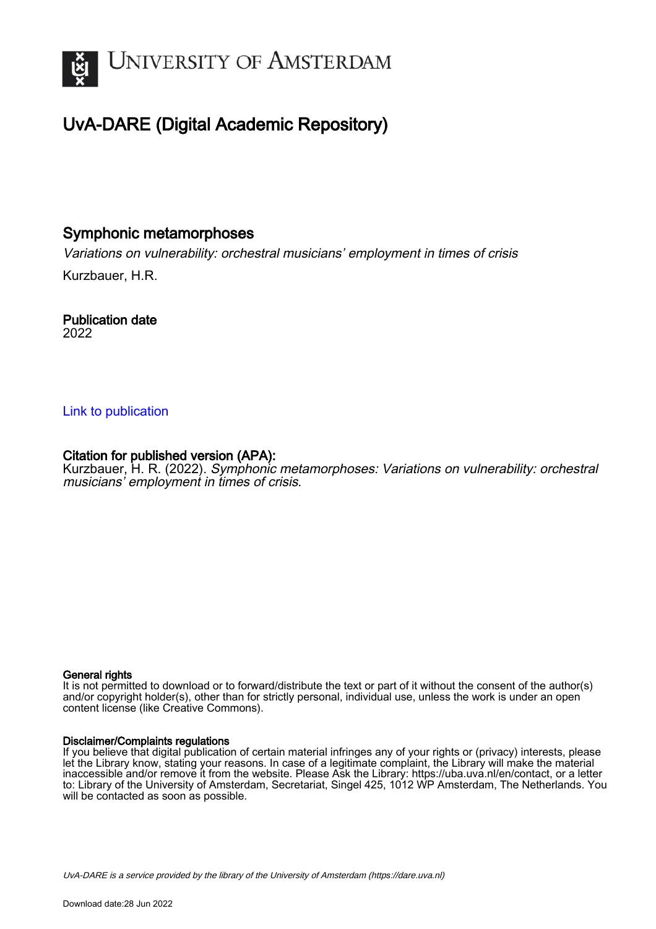

# UvA-DARE (Digital Academic Repository)

# Symphonic metamorphoses

Variations on vulnerability: orchestral musicians' employment in times of crisis Kurzbauer, H.R.

Publication date 2022

### [Link to publication](https://dare.uva.nl/personal/pure/en/publications/symphonic-metamorphoses(ab35a110-f6b2-4a35-b155-144a029ad10e).html)

## Citation for published version (APA):

Kurzbauer, H. R. (2022). Symphonic metamorphoses: Variations on vulnerability: orchestral musicians' employment in times of crisis.

#### General rights

It is not permitted to download or to forward/distribute the text or part of it without the consent of the author(s) and/or copyright holder(s), other than for strictly personal, individual use, unless the work is under an open content license (like Creative Commons).

#### Disclaimer/Complaints regulations

If you believe that digital publication of certain material infringes any of your rights or (privacy) interests, please let the Library know, stating your reasons. In case of a legitimate complaint, the Library will make the material inaccessible and/or remove it from the website. Please Ask the Library: https://uba.uva.nl/en/contact, or a letter to: Library of the University of Amsterdam, Secretariat, Singel 425, 1012 WP Amsterdam, The Netherlands. You will be contacted as soon as possible.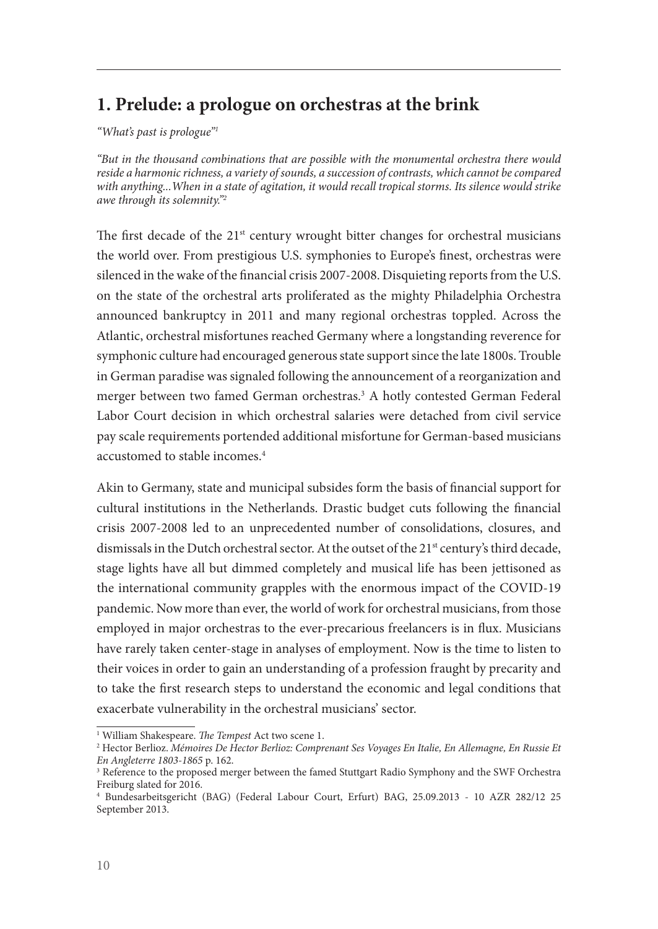# **1. Prelude: a prologue on orchestras at the brink**

*"What's past is prologue"1*

*"But in the thousand combinations that are possible with the monumental orchestra there would reside a harmonic richness, a variety of sounds, a succession of contrasts, which cannot be compared with anything...When in a state of agitation, it would recall tropical storms. Its silence would strike awe through its solemnity."2* 

The first decade of the  $21^{st}$  century wrought bitter changes for orchestral musicians the world over. From prestigious U.S. symphonies to Europe's finest, orchestras were silenced in the wake of the financial crisis 2007-2008. Disquieting reports from the U.S. on the state of the orchestral arts proliferated as the mighty Philadelphia Orchestra announced bankruptcy in 2011 and many regional orchestras toppled. Across the Atlantic, orchestral misfortunes reached Germany where a longstanding reverence for symphonic culture had encouraged generous state support since the late 1800s. Trouble in German paradise was signaled following the announcement of a reorganization and merger between two famed German orchestras.3 A hotly contested German Federal Labor Court decision in which orchestral salaries were detached from civil service pay scale requirements portended additional misfortune for German-based musicians accustomed to stable incomes.<sup>4</sup>

Akin to Germany, state and municipal subsides form the basis of financial support for cultural institutions in the Netherlands. Drastic budget cuts following the financial crisis 2007-2008 led to an unprecedented number of consolidations, closures, and dismissals in the Dutch orchestral sector. At the outset of the 21<sup>st</sup> century's third decade, stage lights have all but dimmed completely and musical life has been jettisoned as the international community grapples with the enormous impact of the COVID-19 pandemic. Now more than ever, the world of work for orchestral musicians, from those employed in major orchestras to the ever-precarious freelancers is in flux. Musicians have rarely taken center-stage in analyses of employment. Now is the time to listen to their voices in order to gain an understanding of a profession fraught by precarity and to take the first research steps to understand the economic and legal conditions that exacerbate vulnerability in the orchestral musicians' sector.

<sup>1</sup> William Shakespeare. *The Tempest* Act two scene 1.

<sup>2</sup> Hector Berlioz. *Mémoires De Hector Berlioz: Comprenant Ses Voyages En Italie, En Allemagne, En Russie Et En Angleterre 1803-1865* p. 162.

<sup>3</sup> Reference to the proposed merger between the famed Stuttgart Radio Symphony and the SWF Orchestra Freiburg slated for 2016.

<sup>4</sup> Bundesarbeitsgericht (BAG) (Federal Labour Court, Erfurt) BAG, 25.09.2013 - 10 AZR 282/12 25 September 2013.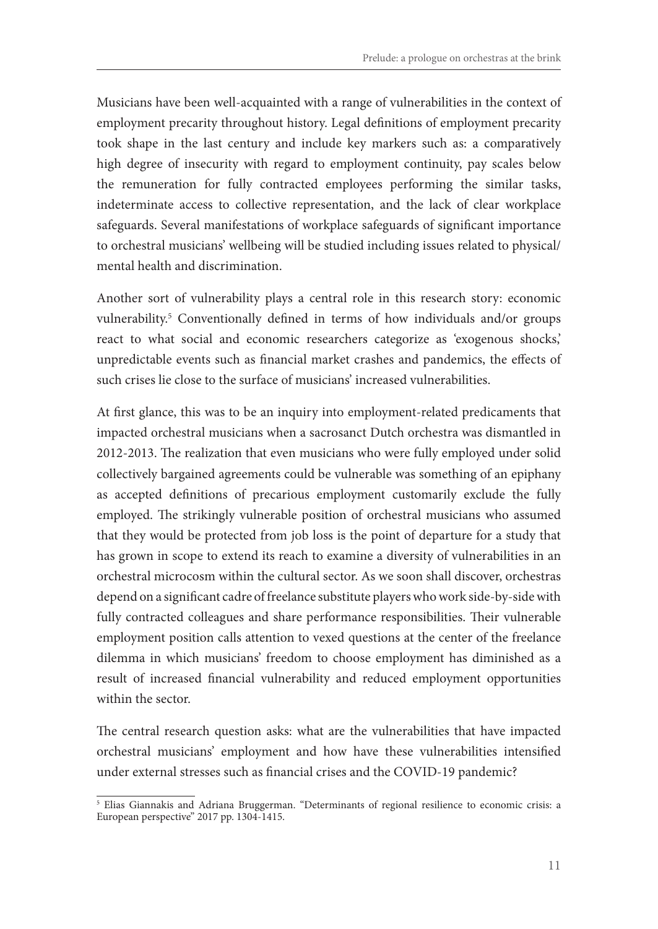Musicians have been well-acquainted with a range of vulnerabilities in the context of employment precarity throughout history. Legal definitions of employment precarity took shape in the last century and include key markers such as: a comparatively high degree of insecurity with regard to employment continuity, pay scales below the remuneration for fully contracted employees performing the similar tasks, indeterminate access to collective representation, and the lack of clear workplace safeguards. Several manifestations of workplace safeguards of significant importance to orchestral musicians' wellbeing will be studied including issues related to physical/ mental health and discrimination.

Another sort of vulnerability plays a central role in this research story: economic vulnerability.5 Conventionally defined in terms of how individuals and/or groups react to what social and economic researchers categorize as 'exogenous shocks,' unpredictable events such as financial market crashes and pandemics, the effects of such crises lie close to the surface of musicians' increased vulnerabilities.

At first glance, this was to be an inquiry into employment-related predicaments that impacted orchestral musicians when a sacrosanct Dutch orchestra was dismantled in 2012-2013. The realization that even musicians who were fully employed under solid collectively bargained agreements could be vulnerable was something of an epiphany as accepted definitions of precarious employment customarily exclude the fully employed. The strikingly vulnerable position of orchestral musicians who assumed that they would be protected from job loss is the point of departure for a study that has grown in scope to extend its reach to examine a diversity of vulnerabilities in an orchestral microcosm within the cultural sector. As we soon shall discover, orchestras depend on a significant cadre of freelance substitute players who work side-by-side with fully contracted colleagues and share performance responsibilities. Their vulnerable employment position calls attention to vexed questions at the center of the freelance dilemma in which musicians' freedom to choose employment has diminished as a result of increased financial vulnerability and reduced employment opportunities within the sector.

The central research question asks: what are the vulnerabilities that have impacted orchestral musicians' employment and how have these vulnerabilities intensified under external stresses such as financial crises and the COVID-19 pandemic?

<sup>5</sup> Elias Giannakis and Adriana Bruggerman. "Determinants of regional resilience to economic crisis: a European perspective" 2017 pp. 1304-1415.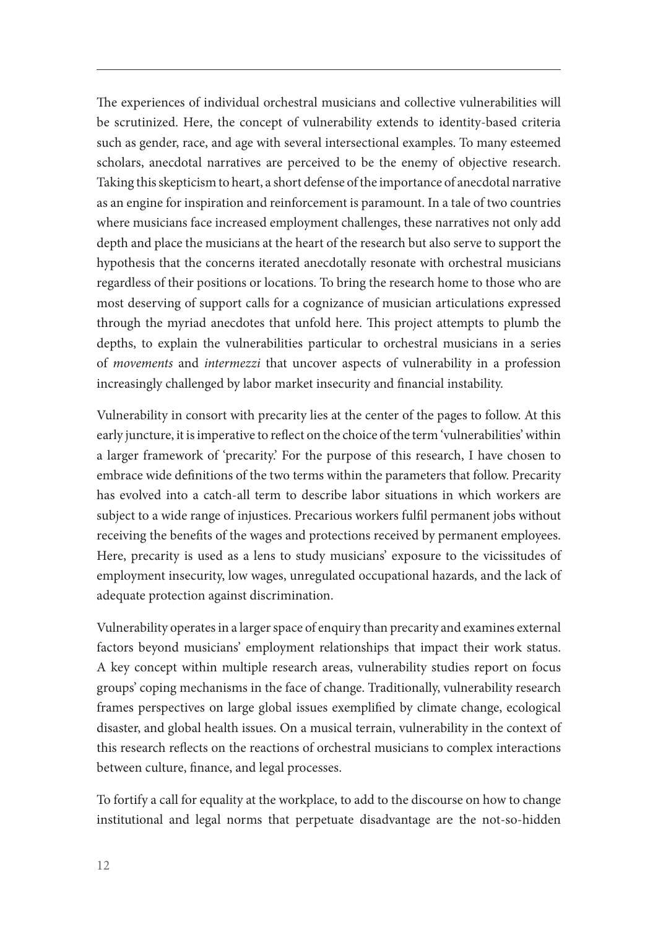The experiences of individual orchestral musicians and collective vulnerabilities will be scrutinized. Here, the concept of vulnerability extends to identity-based criteria such as gender, race, and age with several intersectional examples. To many esteemed scholars, anecdotal narratives are perceived to be the enemy of objective research. Taking this skepticism to heart, a short defense of the importance of anecdotal narrative as an engine for inspiration and reinforcement is paramount. In a tale of two countries where musicians face increased employment challenges, these narratives not only add depth and place the musicians at the heart of the research but also serve to support the hypothesis that the concerns iterated anecdotally resonate with orchestral musicians regardless of their positions or locations. To bring the research home to those who are most deserving of support calls for a cognizance of musician articulations expressed through the myriad anecdotes that unfold here. This project attempts to plumb the depths, to explain the vulnerabilities particular to orchestral musicians in a series of *movements* and *intermezzi* that uncover aspects of vulnerability in a profession increasingly challenged by labor market insecurity and financial instability.

Vulnerability in consort with precarity lies at the center of the pages to follow. At this early juncture, it is imperative to reflect on the choice of the term 'vulnerabilities' within a larger framework of 'precarity.' For the purpose of this research, I have chosen to embrace wide definitions of the two terms within the parameters that follow. Precarity has evolved into a catch-all term to describe labor situations in which workers are subject to a wide range of injustices. Precarious workers fulfil permanent jobs without receiving the benefits of the wages and protections received by permanent employees. Here, precarity is used as a lens to study musicians' exposure to the vicissitudes of employment insecurity, low wages, unregulated occupational hazards, and the lack of adequate protection against discrimination.

Vulnerability operates in a larger space of enquiry than precarity and examines external factors beyond musicians' employment relationships that impact their work status. A key concept within multiple research areas, vulnerability studies report on focus groups' coping mechanisms in the face of change. Traditionally, vulnerability research frames perspectives on large global issues exemplified by climate change, ecological disaster, and global health issues. On a musical terrain, vulnerability in the context of this research reflects on the reactions of orchestral musicians to complex interactions between culture, finance, and legal processes.

To fortify a call for equality at the workplace, to add to the discourse on how to change institutional and legal norms that perpetuate disadvantage are the not-so-hidden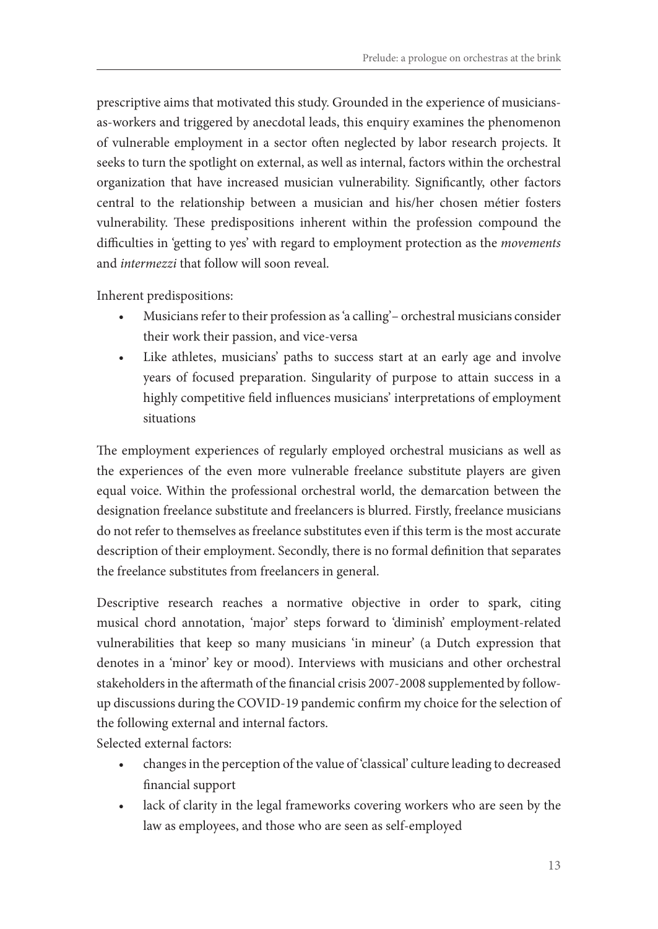prescriptive aims that motivated this study. Grounded in the experience of musiciansas-workers and triggered by anecdotal leads, this enquiry examines the phenomenon of vulnerable employment in a sector often neglected by labor research projects. It seeks to turn the spotlight on external, as well as internal, factors within the orchestral organization that have increased musician vulnerability. Significantly, other factors central to the relationship between a musician and his/her chosen métier fosters vulnerability. These predispositions inherent within the profession compound the difficulties in 'getting to yes' with regard to employment protection as the *movements*  and *intermezzi* that follow will soon reveal.

Inherent predispositions:

- Musicians refer to their profession as 'a calling'– orchestral musicians consider their work their passion, and vice-versa
- Like athletes, musicians' paths to success start at an early age and involve years of focused preparation. Singularity of purpose to attain success in a highly competitive field influences musicians' interpretations of employment situations

The employment experiences of regularly employed orchestral musicians as well as the experiences of the even more vulnerable freelance substitute players are given equal voice. Within the professional orchestral world, the demarcation between the designation freelance substitute and freelancers is blurred. Firstly, freelance musicians do not refer to themselves as freelance substitutes even if this term is the most accurate description of their employment. Secondly, there is no formal definition that separates the freelance substitutes from freelancers in general.

Descriptive research reaches a normative objective in order to spark, citing musical chord annotation, 'major' steps forward to 'diminish' employment-related vulnerabilities that keep so many musicians 'in mineur' (a Dutch expression that denotes in a 'minor' key or mood). Interviews with musicians and other orchestral stakeholders in the aftermath of the financial crisis 2007-2008 supplemented by followup discussions during the COVID-19 pandemic confirm my choice for the selection of the following external and internal factors.

Selected external factors:

- changes in the perception of the value of 'classical' culture leading to decreased financial support
- lack of clarity in the legal frameworks covering workers who are seen by the law as employees, and those who are seen as self-employed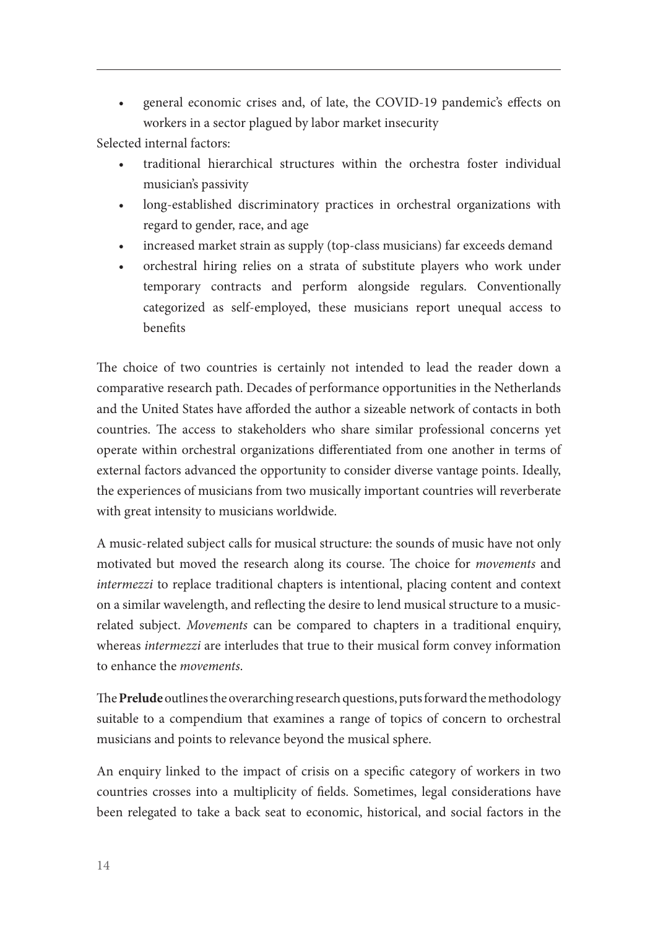• general economic crises and, of late, the COVID-19 pandemic's effects on workers in a sector plagued by labor market insecurity

Selected internal factors:

- traditional hierarchical structures within the orchestra foster individual musician's passivity
- long-established discriminatory practices in orchestral organizations with regard to gender, race, and age
- increased market strain as supply (top-class musicians) far exceeds demand
- orchestral hiring relies on a strata of substitute players who work under temporary contracts and perform alongside regulars. Conventionally categorized as self-employed, these musicians report unequal access to benefits

The choice of two countries is certainly not intended to lead the reader down a comparative research path. Decades of performance opportunities in the Netherlands and the United States have afforded the author a sizeable network of contacts in both countries. The access to stakeholders who share similar professional concerns yet operate within orchestral organizations differentiated from one another in terms of external factors advanced the opportunity to consider diverse vantage points. Ideally, the experiences of musicians from two musically important countries will reverberate with great intensity to musicians worldwide.

A music-related subject calls for musical structure: the sounds of music have not only motivated but moved the research along its course. The choice for *movements* and *intermezzi* to replace traditional chapters is intentional, placing content and context on a similar wavelength, and reflecting the desire to lend musical structure to a musicrelated subject. *Movements* can be compared to chapters in a traditional enquiry, whereas *intermezzi* are interludes that true to their musical form convey information to enhance the *movements*.

The **Prelude** outlines the overarching research questions, puts forward the methodology suitable to a compendium that examines a range of topics of concern to orchestral musicians and points to relevance beyond the musical sphere.

An enquiry linked to the impact of crisis on a specific category of workers in two countries crosses into a multiplicity of fields. Sometimes, legal considerations have been relegated to take a back seat to economic, historical, and social factors in the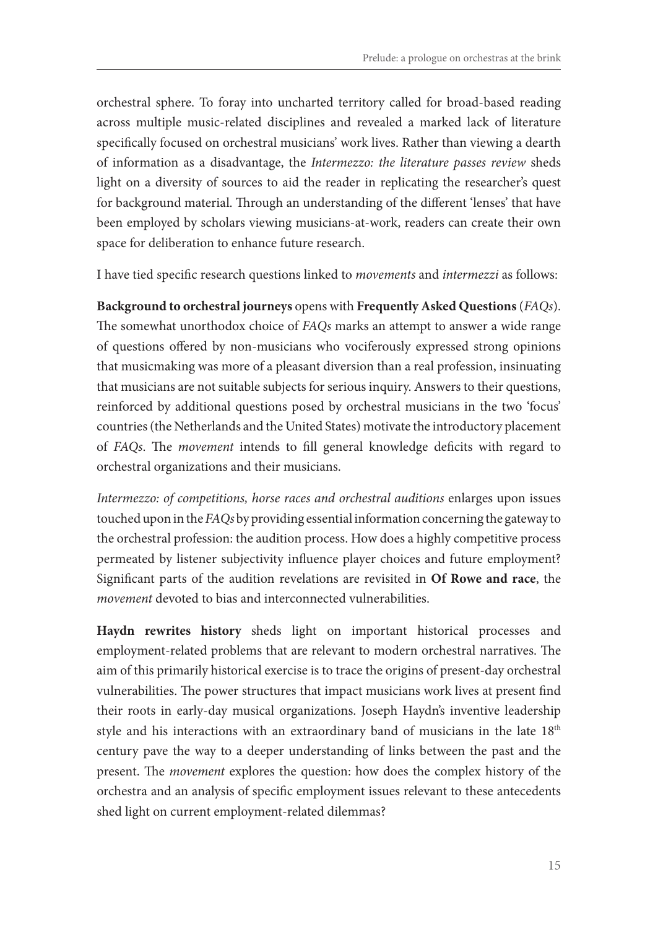orchestral sphere. To foray into uncharted territory called for broad-based reading across multiple music-related disciplines and revealed a marked lack of literature specifically focused on orchestral musicians' work lives. Rather than viewing a dearth of information as a disadvantage, the *Intermezzo: the literature passes review* sheds light on a diversity of sources to aid the reader in replicating the researcher's quest for background material. Through an understanding of the different 'lenses' that have been employed by scholars viewing musicians-at-work, readers can create their own space for deliberation to enhance future research.

I have tied specific research questions linked to *movements* and *intermezzi* as follows:

**Background to orchestral journeys** opens with **Frequently Asked Questions** (*FAQs*). The somewhat unorthodox choice of *FAQs* marks an attempt to answer a wide range of questions offered by non-musicians who vociferously expressed strong opinions that musicmaking was more of a pleasant diversion than a real profession, insinuating that musicians are not suitable subjects for serious inquiry. Answers to their questions, reinforced by additional questions posed by orchestral musicians in the two 'focus' countries (the Netherlands and the United States) motivate the introductory placement of *FAQs*. The *movement* intends to fill general knowledge deficits with regard to orchestral organizations and their musicians.

*Intermezzo: of competitions, horse races and orchestral auditions* enlarges upon issues touched upon in the *FAQs* by providing essential information concerning the gateway to the orchestral profession: the audition process. How does a highly competitive process permeated by listener subjectivity influence player choices and future employment? Significant parts of the audition revelations are revisited in **Of Rowe and race**, the *movement* devoted to bias and interconnected vulnerabilities.

**Haydn rewrites history** sheds light on important historical processes and employment-related problems that are relevant to modern orchestral narratives. The aim of this primarily historical exercise is to trace the origins of present-day orchestral vulnerabilities. The power structures that impact musicians work lives at present find their roots in early-day musical organizations. Joseph Haydn's inventive leadership style and his interactions with an extraordinary band of musicians in the late 18<sup>th</sup> century pave the way to a deeper understanding of links between the past and the present. The *movement* explores the question: how does the complex history of the orchestra and an analysis of specific employment issues relevant to these antecedents shed light on current employment-related dilemmas?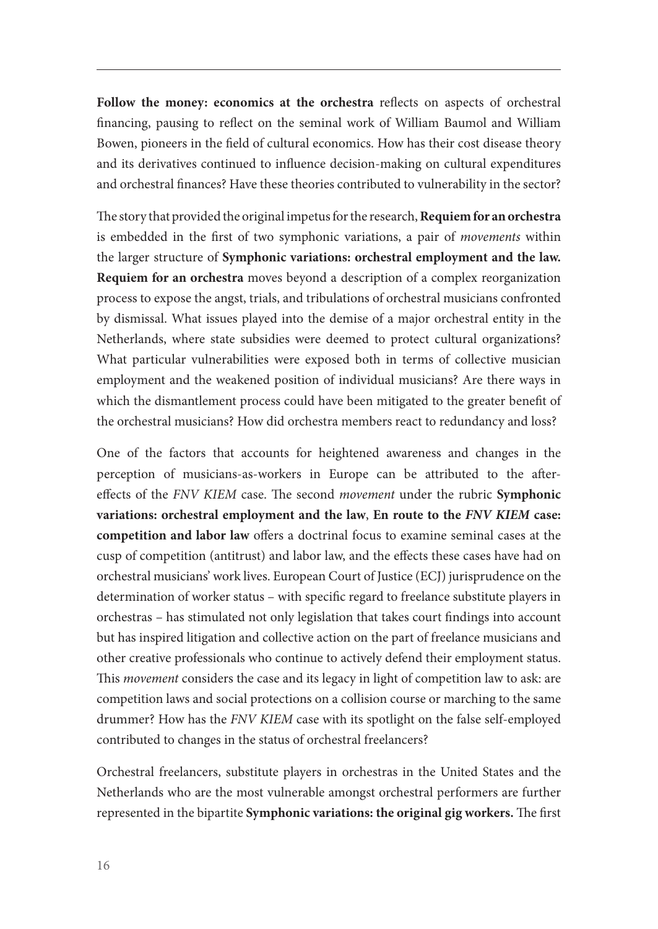**Follow the money: economics at the orchestra** reflects on aspects of orchestral financing, pausing to reflect on the seminal work of William Baumol and William Bowen, pioneers in the field of cultural economics. How has their cost disease theory and its derivatives continued to influence decision-making on cultural expenditures and orchestral finances? Have these theories contributed to vulnerability in the sector?

The story that provided the original impetus for the research, **Requiem for an orchestra** is embedded in the first of two symphonic variations, a pair of *movements* within the larger structure of **Symphonic variations: orchestral employment and the law. Requiem for an orchestra** moves beyond a description of a complex reorganization process to expose the angst, trials, and tribulations of orchestral musicians confronted by dismissal. What issues played into the demise of a major orchestral entity in the Netherlands, where state subsidies were deemed to protect cultural organizations? What particular vulnerabilities were exposed both in terms of collective musician employment and the weakened position of individual musicians? Are there ways in which the dismantlement process could have been mitigated to the greater benefit of the orchestral musicians? How did orchestra members react to redundancy and loss?

One of the factors that accounts for heightened awareness and changes in the perception of musicians-as-workers in Europe can be attributed to the aftereffects of the *FNV KIEM* case. The second *movement* under the rubric **Symphonic variations: orchestral employment and the law**, **En route to the** *FNV KIEM* **case: competition and labor law** offers a doctrinal focus to examine seminal cases at the cusp of competition (antitrust) and labor law, and the effects these cases have had on orchestral musicians' work lives. European Court of Justice (ECJ) jurisprudence on the determination of worker status – with specific regard to freelance substitute players in orchestras – has stimulated not only legislation that takes court findings into account but has inspired litigation and collective action on the part of freelance musicians and other creative professionals who continue to actively defend their employment status. This *movement* considers the case and its legacy in light of competition law to ask: are competition laws and social protections on a collision course or marching to the same drummer? How has the *FNV KIEM* case with its spotlight on the false self-employed contributed to changes in the status of orchestral freelancers?

Orchestral freelancers, substitute players in orchestras in the United States and the Netherlands who are the most vulnerable amongst orchestral performers are further represented in the bipartite **Symphonic variations: the original gig workers.** The first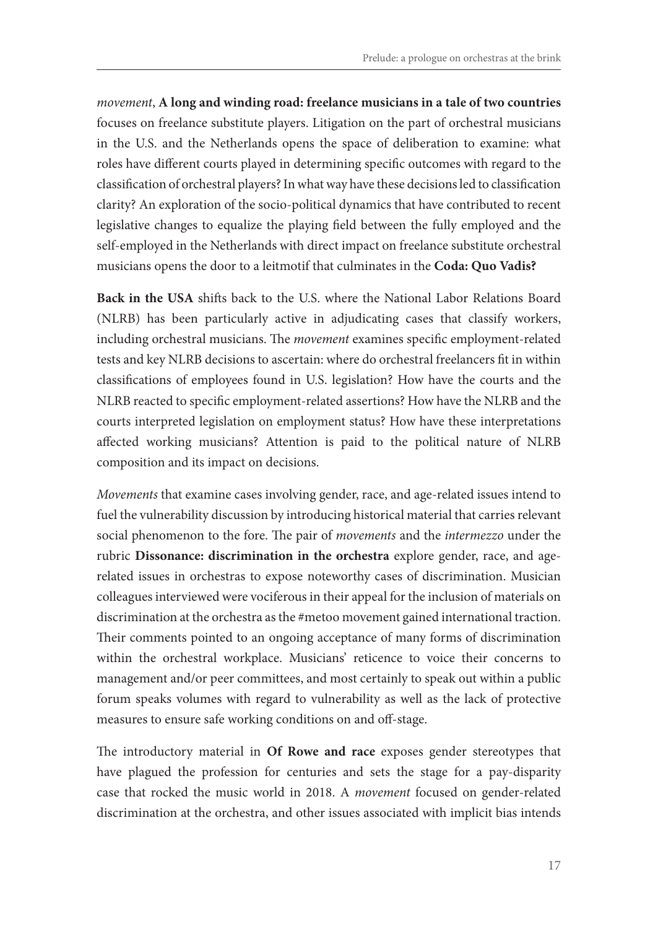*movement*, **A long and winding road: freelance musicians in a tale of two countries**  focuses on freelance substitute players. Litigation on the part of orchestral musicians in the U.S. and the Netherlands opens the space of deliberation to examine: what roles have different courts played in determining specific outcomes with regard to the classification of orchestral players? In what way have these decisions led to classification clarity? An exploration of the socio-political dynamics that have contributed to recent legislative changes to equalize the playing field between the fully employed and the self-employed in the Netherlands with direct impact on freelance substitute orchestral musicians opens the door to a leitmotif that culminates in the **Coda: Quo Vadis?**

**Back in the USA** shifts back to the U.S. where the National Labor Relations Board (NLRB) has been particularly active in adjudicating cases that classify workers, including orchestral musicians. The *movement* examines specific employment-related tests and key NLRB decisions to ascertain: where do orchestral freelancers fit in within classifications of employees found in U.S. legislation? How have the courts and the NLRB reacted to specific employment-related assertions? How have the NLRB and the courts interpreted legislation on employment status? How have these interpretations affected working musicians? Attention is paid to the political nature of NLRB composition and its impact on decisions.

*Movements* that examine cases involving gender, race, and age-related issues intend to fuel the vulnerability discussion by introducing historical material that carries relevant social phenomenon to the fore. The pair of *movements* and the *intermezzo* under the rubric **Dissonance: discrimination in the orchestra** explore gender, race, and agerelated issues in orchestras to expose noteworthy cases of discrimination. Musician colleagues interviewed were vociferous in their appeal for the inclusion of materials on discrimination at the orchestra as the #metoo movement gained international traction. Their comments pointed to an ongoing acceptance of many forms of discrimination within the orchestral workplace. Musicians' reticence to voice their concerns to management and/or peer committees, and most certainly to speak out within a public forum speaks volumes with regard to vulnerability as well as the lack of protective measures to ensure safe working conditions on and off-stage.

The introductory material in **Of Rowe and race** exposes gender stereotypes that have plagued the profession for centuries and sets the stage for a pay-disparity case that rocked the music world in 2018. A *movement* focused on gender-related discrimination at the orchestra, and other issues associated with implicit bias intends